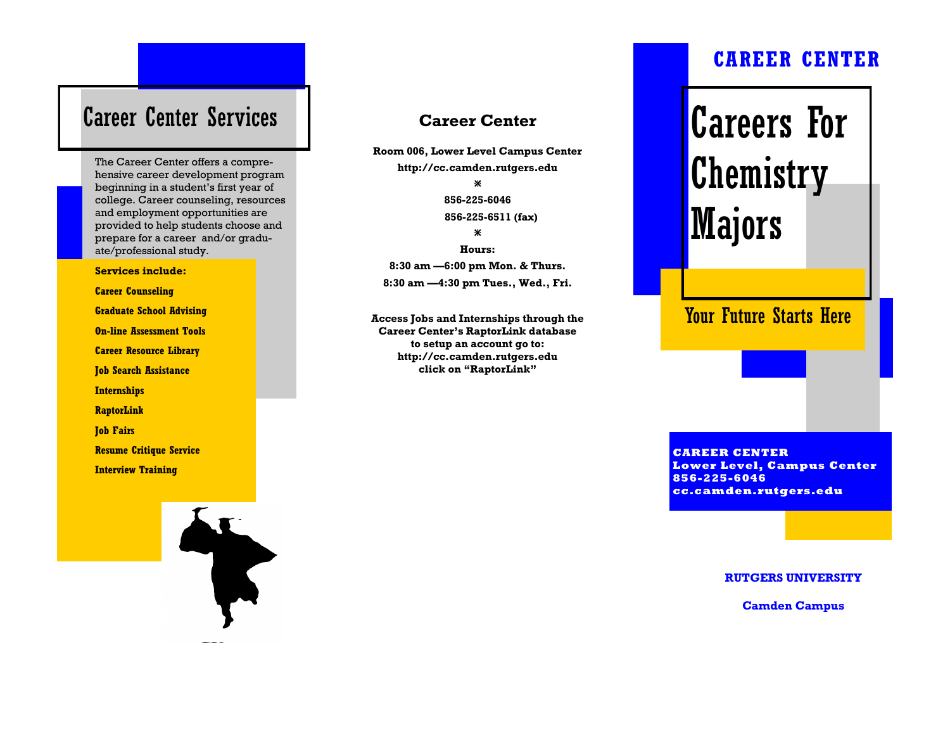## Career Center Services

The Career Center offers a comprehensive career development program beginning in a student's first year of college. Career counseling, resources and employment opportunities are provided to help students choose and prepare for a career and/or graduate/professional study.

#### **Services include:**

**Career Counseling**

**Graduate School Advising**

**On-line Assessment Tools**

**Career Resource Library**

**Job Search Assistance**

**Internships**

**RaptorLink**

**Job Fairs**

**Resume Critique Service**

**Interview Training**

## **Career Center**

**Room 006, Lower Level Campus Center http://cc.camden.rutgers.edu** Ж

> **856-225-6046 856-225-6511 (fax)**

× **Hours: 8:30 am —6:00 pm Mon. & Thurs. 8:30 am —4:30 pm Tues., Wed., Fri.**

**Access Jobs and Internships through the Career Center's RaptorLink database to setup an account go to: http://cc.camden.rutgers.edu click on "RaptorLink"**

## **CAREER CENTER**

# **Careers For Chemistry** Majors

Your Future Starts Here

**CAREER CENTER Lower Level, Campus Center 856-225-6046 cc.camden.rutgers.edu**

#### **RUTGERS UNIVERSITY**

**Camden Campus**